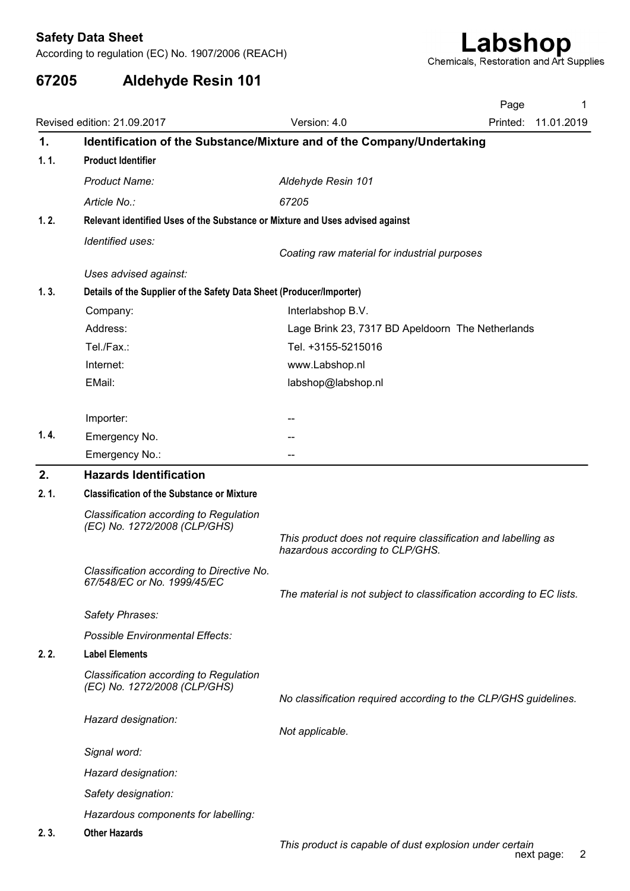| 67205          | <b>Aldehyde Resin 101</b>                                                     |                                                                                                  |                                                                      |
|----------------|-------------------------------------------------------------------------------|--------------------------------------------------------------------------------------------------|----------------------------------------------------------------------|
|                |                                                                               |                                                                                                  | Page<br>1                                                            |
|                | Revised edition: 21.09.2017                                                   | Version: 4.0                                                                                     | Printed: 11.01.2019                                                  |
| $\mathbf{1}$ . | Identification of the Substance/Mixture and of the Company/Undertaking        |                                                                                                  |                                                                      |
| 1.1.           | <b>Product Identifier</b>                                                     |                                                                                                  |                                                                      |
|                | Product Name:                                                                 | Aldehyde Resin 101                                                                               |                                                                      |
|                | Article No.:                                                                  | 67205                                                                                            |                                                                      |
| 1.2.           | Relevant identified Uses of the Substance or Mixture and Uses advised against |                                                                                                  |                                                                      |
|                | Identified uses:                                                              |                                                                                                  |                                                                      |
|                |                                                                               | Coating raw material for industrial purposes                                                     |                                                                      |
|                | Uses advised against:                                                         |                                                                                                  |                                                                      |
| 1.3.           | Details of the Supplier of the Safety Data Sheet (Producer/Importer)          |                                                                                                  |                                                                      |
|                | Company:<br>Address:                                                          | Interlabshop B.V.<br>Lage Brink 23, 7317 BD Apeldoorn The Netherlands                            |                                                                      |
|                | Tel./Fax.:                                                                    | Tel. +3155-5215016                                                                               |                                                                      |
|                | Internet:                                                                     | www.Labshop.nl                                                                                   |                                                                      |
|                | EMail:                                                                        | labshop@labshop.nl                                                                               |                                                                      |
|                |                                                                               |                                                                                                  |                                                                      |
|                | Importer:                                                                     |                                                                                                  |                                                                      |
| 1.4.           | Emergency No.                                                                 | --                                                                                               |                                                                      |
|                | Emergency No.:                                                                | --                                                                                               |                                                                      |
| 2.             | <b>Hazards Identification</b>                                                 |                                                                                                  |                                                                      |
| 2.1.           | <b>Classification of the Substance or Mixture</b>                             |                                                                                                  |                                                                      |
|                | Classification according to Regulation<br>(EC) No. 1272/2008 (CLP/GHS)        | This product does not require classification and labelling as<br>hazardous according to CLP/GHS. |                                                                      |
|                | Classification according to Directive No.                                     |                                                                                                  |                                                                      |
|                | 67/548/EC or No. 1999/45/EC                                                   |                                                                                                  |                                                                      |
|                |                                                                               |                                                                                                  | The material is not subject to classification according to EC lists. |
|                | Safety Phrases:                                                               |                                                                                                  |                                                                      |
|                | <b>Possible Environmental Effects:</b>                                        |                                                                                                  |                                                                      |
| 2.2.           | <b>Label Elements</b>                                                         |                                                                                                  |                                                                      |
|                | Classification according to Regulation<br>(EC) No. 1272/2008 (CLP/GHS)        |                                                                                                  | No classification required according to the CLP/GHS guidelines.      |
|                | Hazard designation:                                                           | Not applicable.                                                                                  |                                                                      |
|                | Signal word:                                                                  |                                                                                                  |                                                                      |
|                | Hazard designation:                                                           |                                                                                                  |                                                                      |
|                | Safety designation:                                                           |                                                                                                  |                                                                      |
|                | Hazardous components for labelling:                                           |                                                                                                  |                                                                      |
|                | <b>Other Hazards</b>                                                          |                                                                                                  |                                                                      |
| 2.3.           |                                                                               | This product is capable of dust explosion under certain                                          |                                                                      |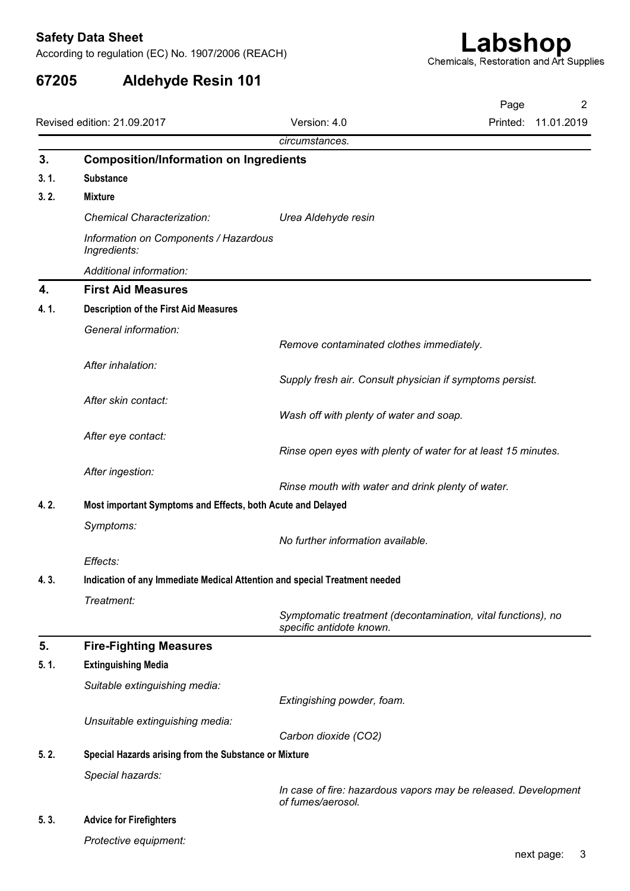|      |                                                                            |                                                                                          | Page                |
|------|----------------------------------------------------------------------------|------------------------------------------------------------------------------------------|---------------------|
|      | Revised edition: 21.09.2017                                                | Version: 4.0<br>circumstances.                                                           | Printed: 11.01.2019 |
| 3.   | <b>Composition/Information on Ingredients</b>                              |                                                                                          |                     |
| 3.1. | <b>Substance</b>                                                           |                                                                                          |                     |
| 3.2. | Mixture                                                                    |                                                                                          |                     |
|      | <b>Chemical Characterization:</b>                                          | Urea Aldehyde resin                                                                      |                     |
|      | Information on Components / Hazardous<br>Ingredients:                      |                                                                                          |                     |
|      | Additional information:                                                    |                                                                                          |                     |
| 4.   | <b>First Aid Measures</b>                                                  |                                                                                          |                     |
| 4.1. | <b>Description of the First Aid Measures</b>                               |                                                                                          |                     |
|      | General information:                                                       | Remove contaminated clothes immediately.                                                 |                     |
|      | After inhalation:                                                          |                                                                                          |                     |
|      |                                                                            | Supply fresh air. Consult physician if symptoms persist.                                 |                     |
|      | After skin contact:                                                        |                                                                                          |                     |
|      |                                                                            | Wash off with plenty of water and soap.                                                  |                     |
|      | After eye contact:                                                         | Rinse open eyes with plenty of water for at least 15 minutes.                            |                     |
|      |                                                                            |                                                                                          |                     |
|      | After ingestion:                                                           | Rinse mouth with water and drink plenty of water.                                        |                     |
| 4.2. | Most important Symptoms and Effects, both Acute and Delayed                |                                                                                          |                     |
|      | Symptoms:                                                                  |                                                                                          |                     |
|      |                                                                            | No further information available.                                                        |                     |
|      | Effects:                                                                   |                                                                                          |                     |
| 4.3. | Indication of any Immediate Medical Attention and special Treatment needed |                                                                                          |                     |
|      | Treatment:                                                                 | Symptomatic treatment (decontamination, vital functions), no<br>specific antidote known. |                     |
| 5.   | <b>Fire-Fighting Measures</b>                                              |                                                                                          |                     |
| 5.1. | <b>Extinguishing Media</b>                                                 |                                                                                          |                     |
|      | Suitable extinguishing media:                                              |                                                                                          |                     |
|      |                                                                            | Extingishing powder, foam.                                                               |                     |
|      | Unsuitable extinguishing media:                                            |                                                                                          |                     |
| 5.2. | Special Hazards arising from the Substance or Mixture                      | Carbon dioxide (CO2)                                                                     |                     |
|      | Special hazards:                                                           |                                                                                          |                     |
|      |                                                                            | In case of fire: hazardous vapors may be released. Development                           |                     |
|      |                                                                            | of fumes/aerosol.                                                                        |                     |
| 5.3. | <b>Advice for Firefighters</b>                                             |                                                                                          |                     |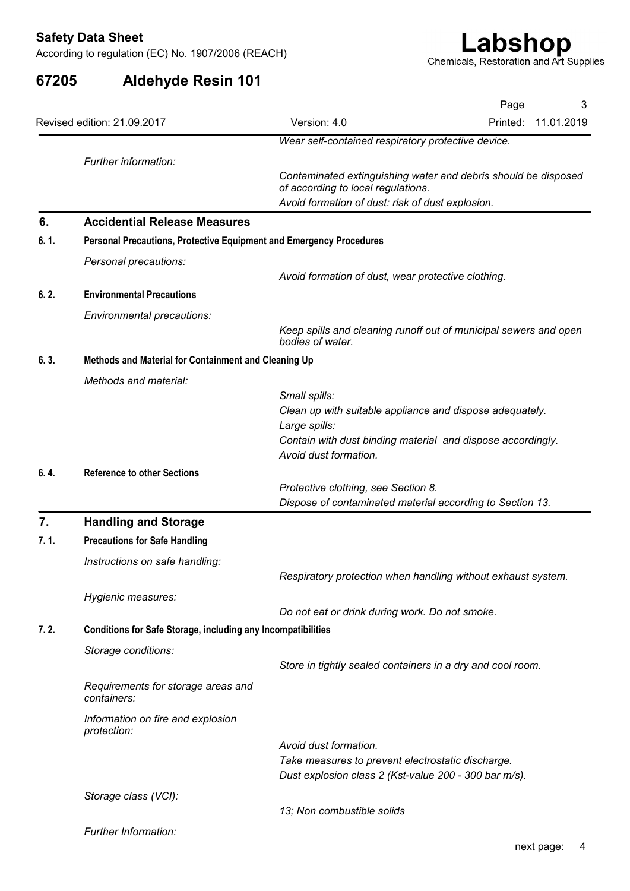| 67205 | <b>Aldehyde Resin 101</b>                                           | Chemicals, Restoration and Art Supplies                                                                                                                  |
|-------|---------------------------------------------------------------------|----------------------------------------------------------------------------------------------------------------------------------------------------------|
|       |                                                                     | Page<br>3                                                                                                                                                |
|       | Revised edition: 21.09.2017                                         | Version: 4.0<br>Printed:<br>11.01.2019                                                                                                                   |
|       |                                                                     | Wear self-contained respiratory protective device.                                                                                                       |
|       | Further information:                                                | Contaminated extinguishing water and debris should be disposed<br>of according to local regulations.<br>Avoid formation of dust: risk of dust explosion. |
| 6.    | <b>Accidential Release Measures</b>                                 |                                                                                                                                                          |
| 6.1.  | Personal Precautions, Protective Equipment and Emergency Procedures |                                                                                                                                                          |
|       | Personal precautions:                                               |                                                                                                                                                          |
|       |                                                                     | Avoid formation of dust, wear protective clothing.                                                                                                       |
| 6.2.  | <b>Environmental Precautions</b>                                    |                                                                                                                                                          |
|       | Environmental precautions:                                          | Keep spills and cleaning runoff out of municipal sewers and open<br>bodies of water.                                                                     |
| 6.3.  | Methods and Material for Containment and Cleaning Up                |                                                                                                                                                          |
|       | Methods and material:                                               |                                                                                                                                                          |
|       |                                                                     | Small spills:                                                                                                                                            |
|       |                                                                     | Clean up with suitable appliance and dispose adequately.<br>Large spills:                                                                                |
|       |                                                                     | Contain with dust binding material and dispose accordingly.<br>Avoid dust formation.                                                                     |
| 6.4.  | <b>Reference to other Sections</b>                                  |                                                                                                                                                          |
|       |                                                                     | Protective clothing, see Section 8.<br>Dispose of contaminated material according to Section 13.                                                         |
| 7.    | <b>Handling and Storage</b>                                         |                                                                                                                                                          |
| 7.1.  | <b>Precautions for Safe Handling</b>                                |                                                                                                                                                          |
|       | Instructions on safe handling:                                      | Respiratory protection when handling without exhaust system.                                                                                             |
|       | Hygienic measures:                                                  | Do not eat or drink during work. Do not smoke.                                                                                                           |
| 7.2.  | <b>Conditions for Safe Storage, including any Incompatibilities</b> |                                                                                                                                                          |
|       | Storage conditions:                                                 | Store in tightly sealed containers in a dry and cool room.                                                                                               |
|       | Requirements for storage areas and<br>containers:                   |                                                                                                                                                          |
|       | Information on fire and explosion<br>protection:                    |                                                                                                                                                          |
|       |                                                                     | Avoid dust formation.                                                                                                                                    |
|       |                                                                     | Take measures to prevent electrostatic discharge.<br>Dust explosion class 2 (Kst-value 200 - 300 bar m/s).                                               |
|       | Storage class (VCI):                                                |                                                                                                                                                          |
|       |                                                                     | 13; Non combustible solids                                                                                                                               |
|       | Further Information:                                                |                                                                                                                                                          |
|       |                                                                     |                                                                                                                                                          |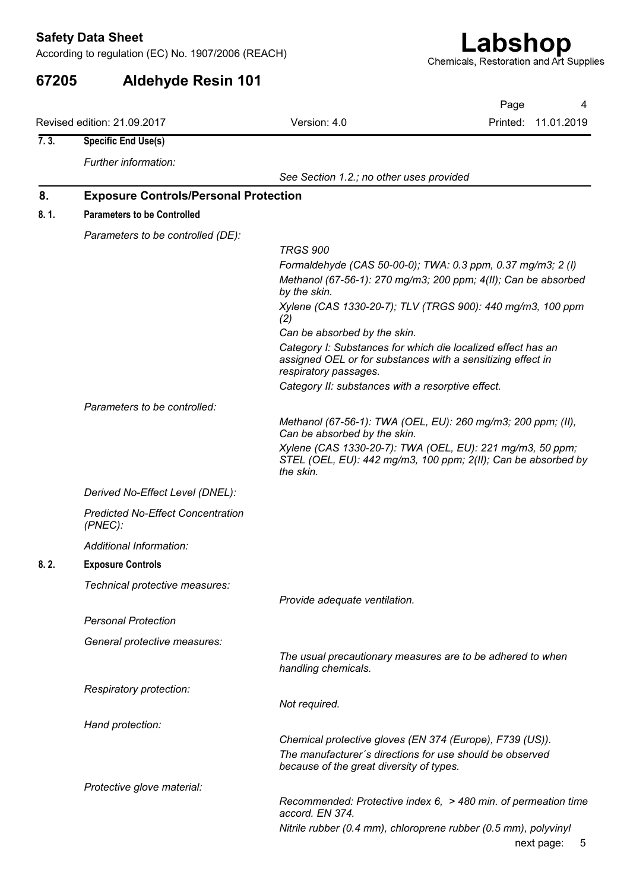| <b>Safety Data Sheet</b> | According to regulation (EC) No. 1907/2006 (REACH) |                                                   | Labshop<br>Chemicals, Restoration and Art Supplies                  |
|--------------------------|----------------------------------------------------|---------------------------------------------------|---------------------------------------------------------------------|
| 67205                    | <b>Aldehyde Resin 101</b>                          |                                                   |                                                                     |
|                          | Revised edition: 21.09.2017                        | Version: 4.0                                      | Page<br>4<br>Printed:<br>11.01.2019                                 |
| 7.3.                     | <b>Specific End Use(s)</b>                         |                                                   |                                                                     |
|                          | Further information:                               |                                                   |                                                                     |
|                          |                                                    | See Section 1.2.; no other uses provided          |                                                                     |
| 8.                       | <b>Exposure Controls/Personal Protection</b>       |                                                   |                                                                     |
| 8.1.                     | <b>Parameters to be Controlled</b>                 |                                                   |                                                                     |
|                          | Parameters to be controlled (DE):                  | <b>TRGS 900</b>                                   |                                                                     |
|                          |                                                    |                                                   | Formaldehyde (CAS 50-00-0); TWA: 0.3 ppm, 0.37 mg/m3; 2 (l)         |
|                          |                                                    |                                                   | Methanol (67-56-1): 270 mg/m3; 200 ppm; 4(II); Can be absorbed      |
|                          |                                                    | by the skin.                                      | Xylene (CAS 1330-20-7); TLV (TRGS 900): 440 mg/m3, 100 ppm          |
|                          |                                                    | (2)                                               |                                                                     |
|                          |                                                    | Can be absorbed by the skin.                      | Category I: Substances for which die localized effect has an        |
|                          |                                                    | respiratory passages.                             | assigned OEL or for substances with a sensitizing effect in         |
|                          |                                                    | Category II: substances with a resorptive effect. |                                                                     |
|                          | Parameters to be controlled:                       |                                                   |                                                                     |
|                          |                                                    |                                                   | Methanol (67-56-1): TWA (OEL, EU): 260 mg/m3; 200 ppm; (II),        |
|                          |                                                    | Can be absorbed by the skin.                      | Xylene (CAS 1330-20-7): TWA (OEL, EU): 221 mg/m3, 50 ppm;           |
|                          |                                                    | the skin.                                         | STEL (OEL, EU): 442 mg/m3, 100 ppm; 2(II); Can be absorbed by       |
|                          | Derived No-Effect Level (DNEL):                    |                                                   |                                                                     |
|                          | <b>Predicted No-Effect Concentration</b>           |                                                   |                                                                     |
|                          | $(PNEC)$ :                                         |                                                   |                                                                     |
|                          | Additional Information:                            |                                                   |                                                                     |
| 8.2.                     | <b>Exposure Controls</b>                           |                                                   |                                                                     |
|                          | Technical protective measures:                     |                                                   |                                                                     |
|                          |                                                    | Provide adequate ventilation.                     |                                                                     |
|                          | <b>Personal Protection</b>                         |                                                   |                                                                     |
|                          | General protective measures:                       |                                                   |                                                                     |
|                          |                                                    | handling chemicals.                               | The usual precautionary measures are to be adhered to when          |
|                          | Respiratory protection:                            |                                                   |                                                                     |
|                          |                                                    | Not required.                                     |                                                                     |
|                          | Hand protection:                                   |                                                   |                                                                     |
|                          |                                                    |                                                   | Chemical protective gloves (EN 374 (Europe), F739 (US)).            |
|                          |                                                    | because of the great diversity of types.          | The manufacturer's directions for use should be observed            |
|                          | Protective glove material:                         |                                                   |                                                                     |
|                          |                                                    |                                                   | Recommended: Protective index $6$ , $>$ 480 min. of permeation time |
|                          |                                                    | accord. EN 374.                                   | Nitrile rubber (0.4 mm), chloroprene rubber (0.5 mm), polyvinyl     |
|                          |                                                    |                                                   |                                                                     |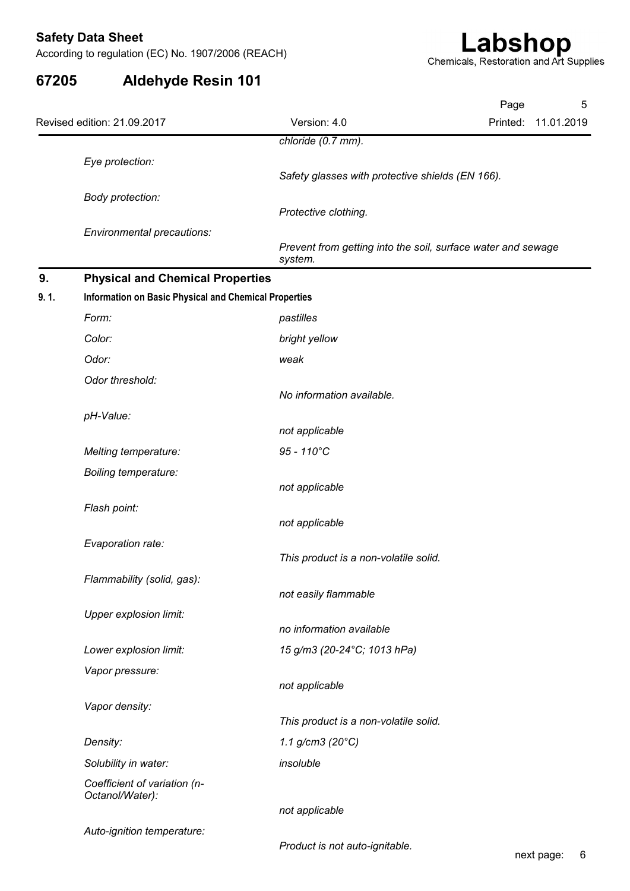| 67205 | <b>Aldehyde Resin 101</b>                             | Chemicals, Restoration and Art Supplies                                 |          |            |   |
|-------|-------------------------------------------------------|-------------------------------------------------------------------------|----------|------------|---|
|       |                                                       |                                                                         | Page     |            | 5 |
|       | Revised edition: 21.09.2017                           | Version: 4.0                                                            | Printed: | 11.01.2019 |   |
|       |                                                       | chloride (0.7 mm).                                                      |          |            |   |
|       | Eye protection:                                       |                                                                         |          |            |   |
|       | Body protection:                                      | Safety glasses with protective shields (EN 166).                        |          |            |   |
|       |                                                       | Protective clothing.                                                    |          |            |   |
|       | Environmental precautions:                            |                                                                         |          |            |   |
|       |                                                       | Prevent from getting into the soil, surface water and sewage<br>system. |          |            |   |
| 9.    | <b>Physical and Chemical Properties</b>               |                                                                         |          |            |   |
| 9.1.  | Information on Basic Physical and Chemical Properties |                                                                         |          |            |   |
|       | Form:                                                 | pastilles                                                               |          |            |   |
|       | Color:                                                | bright yellow                                                           |          |            |   |
|       | Odor:                                                 | weak                                                                    |          |            |   |
|       | Odor threshold:                                       | No information available.                                               |          |            |   |
|       | pH-Value:                                             |                                                                         |          |            |   |
|       |                                                       | not applicable                                                          |          |            |   |
|       | Melting temperature:                                  | 95 - 110°C                                                              |          |            |   |
|       | Boiling temperature:                                  |                                                                         |          |            |   |
|       |                                                       | not applicable                                                          |          |            |   |
|       | Flash point:                                          | not applicable                                                          |          |            |   |
|       | Evaporation rate:                                     |                                                                         |          |            |   |
|       |                                                       | This product is a non-volatile solid.                                   |          |            |   |
|       | Flammability (solid, gas):                            |                                                                         |          |            |   |
|       |                                                       | not easily flammable                                                    |          |            |   |
|       | <b>Upper explosion limit:</b>                         | no information available                                                |          |            |   |
|       | Lower explosion limit:                                | 15 g/m3 (20-24°C; 1013 hPa)                                             |          |            |   |
|       | Vapor pressure:                                       |                                                                         |          |            |   |
|       |                                                       | not applicable                                                          |          |            |   |
|       | Vapor density:                                        |                                                                         |          |            |   |
|       | Density:                                              | This product is a non-volatile solid.<br>1.1 g/cm3 (20 $^{\circ}$ C)    |          |            |   |
|       | Solubility in water:                                  | insoluble                                                               |          |            |   |
|       | Coefficient of variation (n-                          |                                                                         |          |            |   |
|       | Octanol/Water):                                       |                                                                         |          |            |   |
|       |                                                       | not applicable                                                          |          |            |   |
|       | Auto-ignition temperature:                            | Product is not auto-ignitable.                                          |          |            |   |
|       |                                                       |                                                                         |          | next page: | 6 |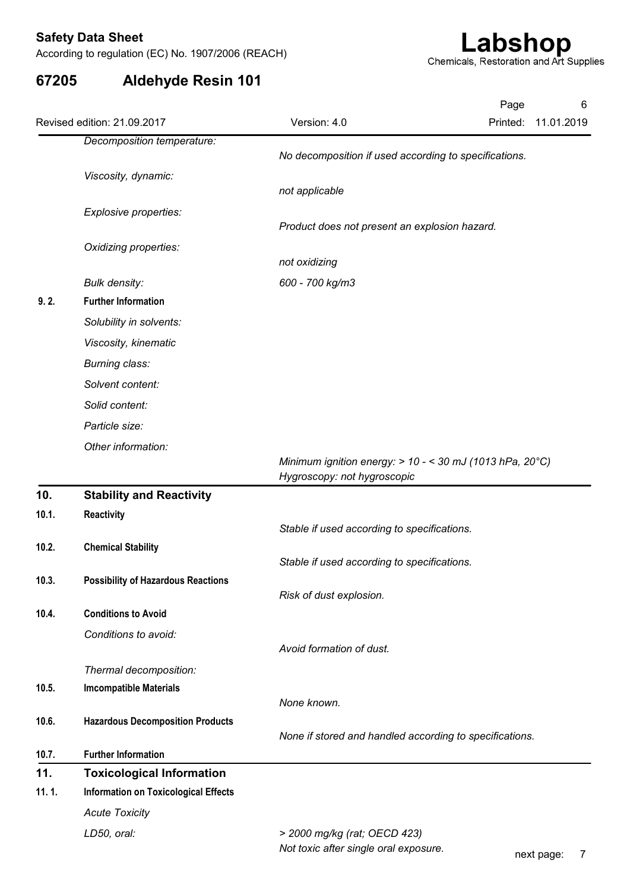| 67205 | <b>Aldehyde Resin 101</b>                          |                                                                                           |                                     |
|-------|----------------------------------------------------|-------------------------------------------------------------------------------------------|-------------------------------------|
|       | Revised edition: 21.09.2017                        | Version: 4.0                                                                              | Page<br>6<br>11.01.2019<br>Printed: |
|       | Decomposition temperature:                         | No decomposition if used according to specifications.                                     |                                     |
|       | Viscosity, dynamic:                                | not applicable                                                                            |                                     |
|       | Explosive properties:                              |                                                                                           |                                     |
|       |                                                    | Product does not present an explosion hazard.                                             |                                     |
|       | Oxidizing properties:                              |                                                                                           |                                     |
|       |                                                    | not oxidizing                                                                             |                                     |
| 9.2.  | <b>Bulk density:</b><br><b>Further Information</b> | 600 - 700 kg/m3                                                                           |                                     |
|       | Solubility in solvents:                            |                                                                                           |                                     |
|       | Viscosity, kinematic                               |                                                                                           |                                     |
|       | Burning class:                                     |                                                                                           |                                     |
|       | Solvent content:                                   |                                                                                           |                                     |
|       | Solid content:                                     |                                                                                           |                                     |
|       | Particle size:                                     |                                                                                           |                                     |
|       | Other information:                                 |                                                                                           |                                     |
|       |                                                    | Minimum ignition energy: $> 10 - < 30$ mJ (1013 hPa, 20°C)<br>Hygroscopy: not hygroscopic |                                     |
| 10.   | <b>Stability and Reactivity</b>                    |                                                                                           |                                     |
| 10.1. | Reactivity                                         |                                                                                           |                                     |
|       |                                                    | Stable if used according to specifications.                                               |                                     |
| 10.2. | <b>Chemical Stability</b>                          | Stable if used according to specifications.                                               |                                     |
| 10.3. | <b>Possibility of Hazardous Reactions</b>          |                                                                                           |                                     |
|       |                                                    | Risk of dust explosion.                                                                   |                                     |
| 10.4. | <b>Conditions to Avoid</b>                         |                                                                                           |                                     |
|       | Conditions to avoid:                               | Avoid formation of dust.                                                                  |                                     |
|       | Thermal decomposition:                             |                                                                                           |                                     |
| 10.5. | <b>Imcompatible Materials</b>                      |                                                                                           |                                     |
|       |                                                    | None known.                                                                               |                                     |
| 10.6. | <b>Hazardous Decomposition Products</b>            | None if stored and handled according to specifications.                                   |                                     |
| 10.7. | <b>Further Information</b>                         |                                                                                           |                                     |
| 11.   | <b>Toxicological Information</b>                   |                                                                                           |                                     |
| 11.1. | <b>Information on Toxicological Effects</b>        |                                                                                           |                                     |
|       | <b>Acute Toxicity</b>                              |                                                                                           |                                     |
|       | LD50, oral:                                        | > 2000 mg/kg (rat; OECD 423)                                                              |                                     |
|       |                                                    | Not toxic after single oral exposure.                                                     | next page:<br>$\overline{7}$        |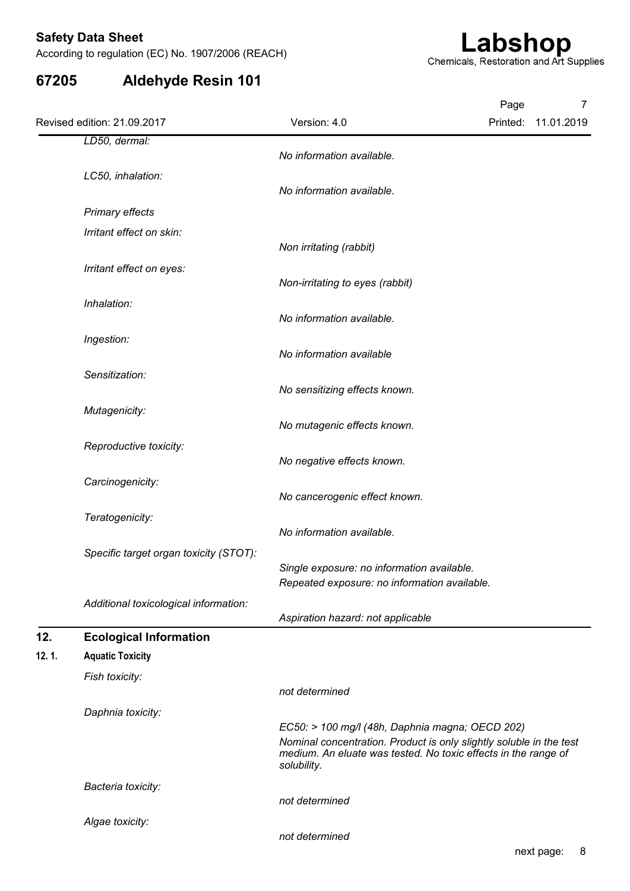|       | According to regulation (EC) No. 1907/2006 (REACH) |                                                                                                                                                                                                         | Chemicals, Restoration and Art Supplies | Labshop |                          |
|-------|----------------------------------------------------|---------------------------------------------------------------------------------------------------------------------------------------------------------------------------------------------------------|-----------------------------------------|---------|--------------------------|
| 67205 | <b>Aldehyde Resin 101</b>                          |                                                                                                                                                                                                         |                                         |         |                          |
|       | Revised edition: 21.09.2017                        | Version: 4.0                                                                                                                                                                                            |                                         | Page    | 7<br>Printed: 11.01.2019 |
|       | LD50, dermal:                                      | No information available.                                                                                                                                                                               |                                         |         |                          |
|       | LC50, inhalation:                                  | No information available.                                                                                                                                                                               |                                         |         |                          |
|       | <b>Primary effects</b>                             |                                                                                                                                                                                                         |                                         |         |                          |
|       | Irritant effect on skin:                           | Non irritating (rabbit)                                                                                                                                                                                 |                                         |         |                          |
|       | Irritant effect on eyes:                           |                                                                                                                                                                                                         |                                         |         |                          |
|       | Inhalation:                                        | Non-irritating to eyes (rabbit)                                                                                                                                                                         |                                         |         |                          |
|       | Ingestion:                                         | No information available.                                                                                                                                                                               |                                         |         |                          |
|       |                                                    | No information available                                                                                                                                                                                |                                         |         |                          |
|       | Sensitization:                                     | No sensitizing effects known.                                                                                                                                                                           |                                         |         |                          |
|       | Mutagenicity:                                      | No mutagenic effects known.                                                                                                                                                                             |                                         |         |                          |
|       | Reproductive toxicity:                             |                                                                                                                                                                                                         |                                         |         |                          |
|       | Carcinogenicity:                                   | No negative effects known.                                                                                                                                                                              |                                         |         |                          |
|       |                                                    | No cancerogenic effect known.                                                                                                                                                                           |                                         |         |                          |
|       | Teratogenicity:                                    | No information available.                                                                                                                                                                               |                                         |         |                          |
|       | Specific target organ toxicity (STOT):             | Single exposure: no information available.<br>Repeated exposure: no information available.                                                                                                              |                                         |         |                          |
|       | Additional toxicological information:              | Aspiration hazard: not applicable                                                                                                                                                                       |                                         |         |                          |
| 12.   | <b>Ecological Information</b>                      |                                                                                                                                                                                                         |                                         |         |                          |
| 12.1. | <b>Aquatic Toxicity</b><br>Fish toxicity:          |                                                                                                                                                                                                         |                                         |         |                          |
|       |                                                    | not determined                                                                                                                                                                                          |                                         |         |                          |
|       | Daphnia toxicity:                                  | EC50: > 100 mg/l (48h, Daphnia magna; OECD 202)<br>Nominal concentration. Product is only slightly soluble in the test<br>medium. An eluate was tested. No toxic effects in the range of<br>solubility. |                                         |         |                          |
|       | Bacteria toxicity:                                 | not determined                                                                                                                                                                                          |                                         |         |                          |
|       | Algae toxicity:                                    | not determined                                                                                                                                                                                          |                                         |         |                          |
|       |                                                    |                                                                                                                                                                                                         |                                         |         |                          |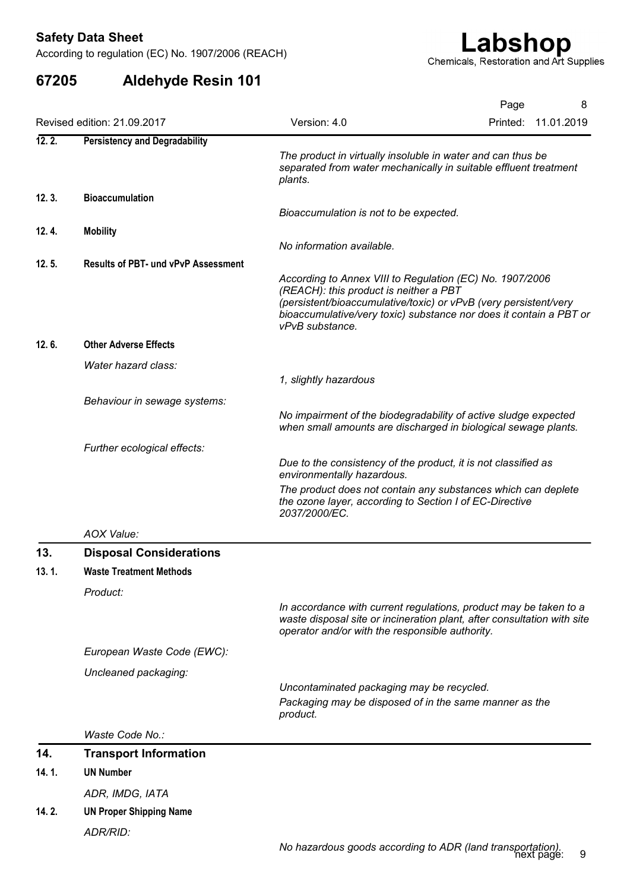| 67205  |                                            | Chemicals, Restoration and Art Supplies                                                                                                                                                                                                                         |
|--------|--------------------------------------------|-----------------------------------------------------------------------------------------------------------------------------------------------------------------------------------------------------------------------------------------------------------------|
|        | <b>Aldehyde Resin 101</b>                  |                                                                                                                                                                                                                                                                 |
|        |                                            | Page                                                                                                                                                                                                                                                            |
|        | Revised edition: 21.09.2017                | Version: 4.0<br>Printed:<br>11.01.2019                                                                                                                                                                                                                          |
| 12.2.  | <b>Persistency and Degradability</b>       | The product in virtually insoluble in water and can thus be<br>separated from water mechanically in suitable effluent treatment<br>plants.                                                                                                                      |
| 12.3.  | <b>Bioaccumulation</b>                     | Bioaccumulation is not to be expected.                                                                                                                                                                                                                          |
| 12. 4. | <b>Mobility</b>                            | No information available.                                                                                                                                                                                                                                       |
| 12.5.  | <b>Results of PBT- und vPvP Assessment</b> | According to Annex VIII to Regulation (EC) No. 1907/2006<br>(REACH): this product is neither a PBT<br>(persistent/bioaccumulative/toxic) or vPvB (very persistent/very<br>bioaccumulative/very toxic) substance nor does it contain a PBT or<br>vPvB substance. |
| 12.6.  | <b>Other Adverse Effects</b>               |                                                                                                                                                                                                                                                                 |
|        | Water hazard class:                        | 1, slightly hazardous                                                                                                                                                                                                                                           |
|        | Behaviour in sewage systems:               | No impairment of the biodegradability of active sludge expected<br>when small amounts are discharged in biological sewage plants.                                                                                                                               |
|        | Further ecological effects:                | Due to the consistency of the product, it is not classified as<br>environmentally hazardous.<br>The product does not contain any substances which can deplete<br>the ozone layer, according to Section I of EC-Directive<br>2037/2000/EC.                       |
|        | AOX Value:                                 |                                                                                                                                                                                                                                                                 |
| 13.    | <b>Disposal Considerations</b>             |                                                                                                                                                                                                                                                                 |
| 13.1.  | <b>Waste Treatment Methods</b>             |                                                                                                                                                                                                                                                                 |
|        | Product:                                   | In accordance with current regulations, product may be taken to a<br>waste disposal site or incineration plant, after consultation with site<br>operator and/or with the responsible authority.                                                                 |
|        | European Waste Code (EWC):                 |                                                                                                                                                                                                                                                                 |
|        | Uncleaned packaging:                       |                                                                                                                                                                                                                                                                 |
|        |                                            | Uncontaminated packaging may be recycled.<br>Packaging may be disposed of in the same manner as the<br>product.                                                                                                                                                 |
|        | Waste Code No.:                            |                                                                                                                                                                                                                                                                 |
| 14.    | <b>Transport Information</b>               |                                                                                                                                                                                                                                                                 |
| 14.1.  | <b>UN Number</b>                           |                                                                                                                                                                                                                                                                 |
|        | ADR, IMDG, IATA                            |                                                                                                                                                                                                                                                                 |
|        | <b>UN Proper Shipping Name</b>             |                                                                                                                                                                                                                                                                 |
| 14.2.  | ADR/RID:                                   |                                                                                                                                                                                                                                                                 |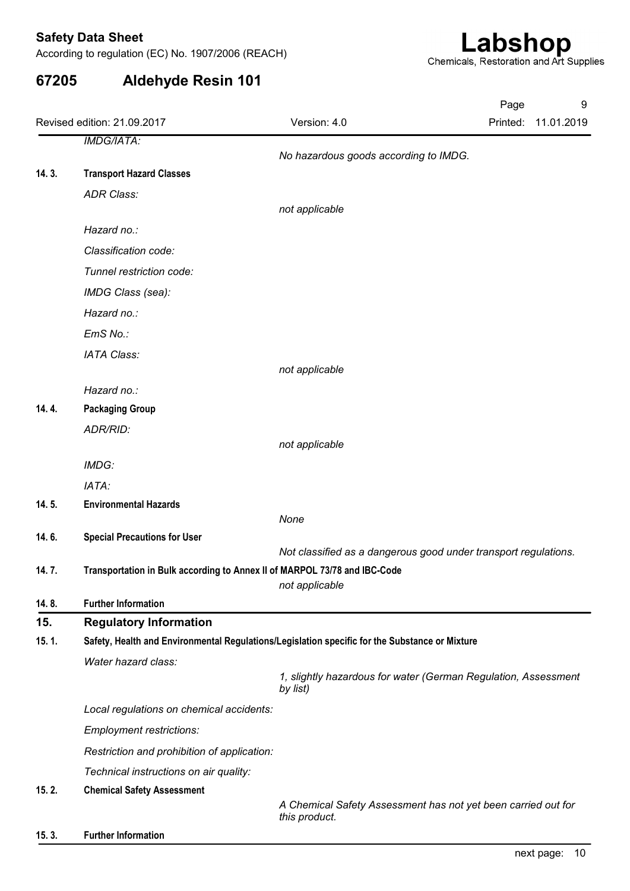| 67205 | <b>Aldehyde Resin 101</b>                                                                      | According to regulation (EC) No. 1907/2006 (REACH) | Chemicals, Restoration and Art Supplies                         |
|-------|------------------------------------------------------------------------------------------------|----------------------------------------------------|-----------------------------------------------------------------|
|       | Revised edition: 21.09.2017                                                                    | Version: 4.0                                       | Page<br>9<br>Printed:<br>11.01.2019                             |
|       | <b>IMDG/IATA:</b>                                                                              | No hazardous goods according to IMDG.              |                                                                 |
| 14.3. | <b>Transport Hazard Classes</b>                                                                |                                                    |                                                                 |
|       | <b>ADR Class:</b>                                                                              |                                                    |                                                                 |
|       |                                                                                                | not applicable                                     |                                                                 |
|       | Hazard no.:                                                                                    |                                                    |                                                                 |
|       | Classification code:                                                                           |                                                    |                                                                 |
|       | Tunnel restriction code:                                                                       |                                                    |                                                                 |
|       | IMDG Class (sea):                                                                              |                                                    |                                                                 |
|       | Hazard no.:                                                                                    |                                                    |                                                                 |
|       | EmS No.:                                                                                       |                                                    |                                                                 |
|       | IATA Class:                                                                                    | not applicable                                     |                                                                 |
|       | Hazard no.:                                                                                    |                                                    |                                                                 |
| 14.4. | <b>Packaging Group</b>                                                                         |                                                    |                                                                 |
|       | ADR/RID:                                                                                       |                                                    |                                                                 |
|       |                                                                                                | not applicable                                     |                                                                 |
|       | IMDG:                                                                                          |                                                    |                                                                 |
|       | IATA:                                                                                          |                                                    |                                                                 |
| 14.5. | <b>Environmental Hazards</b>                                                                   | None                                               |                                                                 |
| 14.6. | <b>Special Precautions for User</b>                                                            |                                                    |                                                                 |
|       |                                                                                                |                                                    | Not classified as a dangerous good under transport regulations. |
| 14.7. | Transportation in Bulk according to Annex II of MARPOL 73/78 and IBC-Code                      | not applicable                                     |                                                                 |
| 14.8. | <b>Further Information</b>                                                                     |                                                    |                                                                 |
| 15.   | <b>Regulatory Information</b>                                                                  |                                                    |                                                                 |
| 15.1. | Safety, Health and Environmental Regulations/Legislation specific for the Substance or Mixture |                                                    |                                                                 |
|       | Water hazard class:                                                                            | by list)                                           | 1, slightly hazardous for water (German Regulation, Assessment  |
|       | Local regulations on chemical accidents:                                                       |                                                    |                                                                 |
|       | Employment restrictions:                                                                       |                                                    |                                                                 |
|       | Restriction and prohibition of application:                                                    |                                                    |                                                                 |
|       | Technical instructions on air quality:                                                         |                                                    |                                                                 |
| 15.2. | <b>Chemical Safety Assessment</b>                                                              | this product.                                      | A Chemical Safety Assessment has not yet been carried out for   |
| 15.3. | <b>Further Information</b>                                                                     |                                                    |                                                                 |